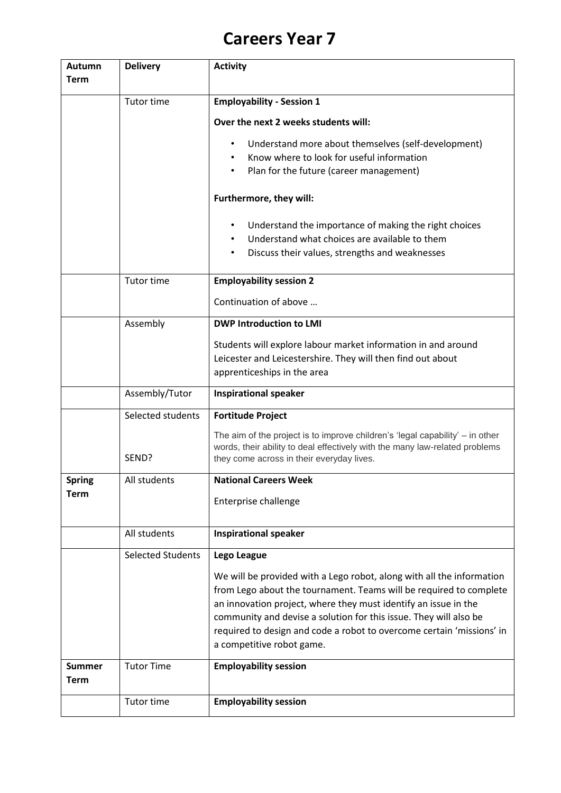## **Careers Year 7**

| Autumn<br>Term        | <b>Delivery</b>          | <b>Activity</b>                                                                                                                                                                                                                                                                                                                                                                           |
|-----------------------|--------------------------|-------------------------------------------------------------------------------------------------------------------------------------------------------------------------------------------------------------------------------------------------------------------------------------------------------------------------------------------------------------------------------------------|
|                       | Tutor time               | <b>Employability - Session 1</b>                                                                                                                                                                                                                                                                                                                                                          |
|                       |                          | Over the next 2 weeks students will:                                                                                                                                                                                                                                                                                                                                                      |
|                       |                          | Understand more about themselves (self-development)<br>$\bullet$<br>Know where to look for useful information<br>Plan for the future (career management)<br>$\bullet$                                                                                                                                                                                                                     |
|                       |                          | Furthermore, they will:                                                                                                                                                                                                                                                                                                                                                                   |
|                       |                          | Understand the importance of making the right choices<br>$\bullet$<br>Understand what choices are available to them<br>Discuss their values, strengths and weaknesses<br>٠                                                                                                                                                                                                                |
|                       | <b>Tutor time</b>        | <b>Employability session 2</b>                                                                                                                                                                                                                                                                                                                                                            |
|                       |                          | Continuation of above                                                                                                                                                                                                                                                                                                                                                                     |
|                       | Assembly                 | <b>DWP Introduction to LMI</b>                                                                                                                                                                                                                                                                                                                                                            |
|                       |                          | Students will explore labour market information in and around<br>Leicester and Leicestershire. They will then find out about<br>apprenticeships in the area                                                                                                                                                                                                                               |
|                       | Assembly/Tutor           | <b>Inspirational speaker</b>                                                                                                                                                                                                                                                                                                                                                              |
|                       | Selected students        | <b>Fortitude Project</b>                                                                                                                                                                                                                                                                                                                                                                  |
|                       | SEND?                    | The aim of the project is to improve children's 'legal capability' $-$ in other<br>words, their ability to deal effectively with the many law-related problems<br>they come across in their everyday lives.                                                                                                                                                                               |
| <b>Spring</b>         | All students             | <b>National Careers Week</b>                                                                                                                                                                                                                                                                                                                                                              |
| Term                  |                          | Enterprise challenge                                                                                                                                                                                                                                                                                                                                                                      |
|                       | All students             | <b>Inspirational speaker</b>                                                                                                                                                                                                                                                                                                                                                              |
|                       | <b>Selected Students</b> | Lego League                                                                                                                                                                                                                                                                                                                                                                               |
|                       |                          | We will be provided with a Lego robot, along with all the information<br>from Lego about the tournament. Teams will be required to complete<br>an innovation project, where they must identify an issue in the<br>community and devise a solution for this issue. They will also be<br>required to design and code a robot to overcome certain 'missions' in<br>a competitive robot game. |
| <b>Summer</b><br>Term | <b>Tutor Time</b>        | <b>Employability session</b>                                                                                                                                                                                                                                                                                                                                                              |
|                       | Tutor time               | <b>Employability session</b>                                                                                                                                                                                                                                                                                                                                                              |